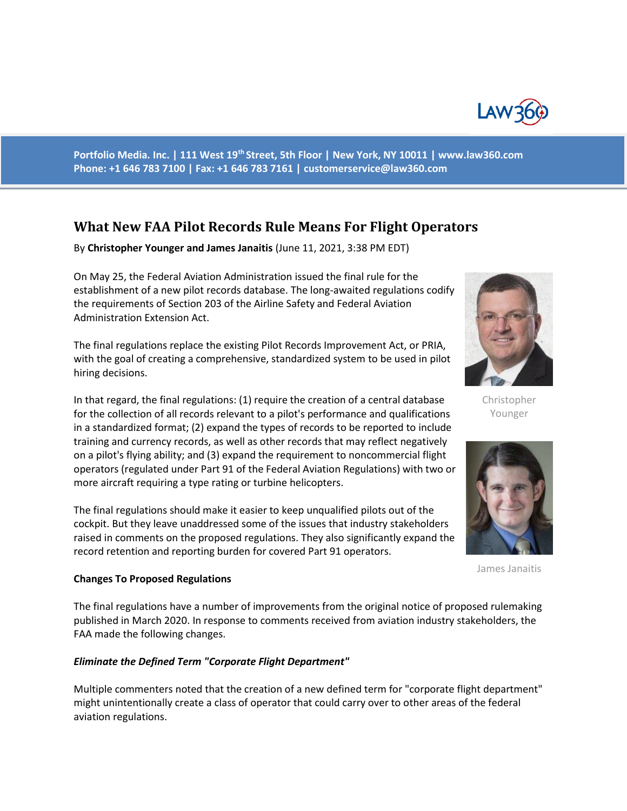

**Portfolio Media. Inc. | 111 West 19th Street, 5th Floor | New York, NY 10011 | www.law360.com Phone: +1 646 783 7100 | Fax: +1 646 783 7161 | customerservice@law360.com**

# **What New FAA Pilot Records Rule Means For Flight Operators**

By **Christopher Younger and James Janaitis** (June 11, 2021, 3:38 PM EDT)

On May 25, the Federal Aviation Administration issued the final rule for the establishment of a new pilot records database. The long-awaited regulations codify the requirements of Section 203 of the Airline Safety and Federal Aviation Administration Extension Act.

The final regulations replace the existing Pilot Records Improvement Act, or PRIA, with the goal of creating a comprehensive, standardized system to be used in pilot hiring decisions.

In that regard, the final regulations: (1) require the creation of a central database for the collection of all records relevant to a pilot's performance and qualifications in a standardized format; (2) expand the types of records to be reported to include training and currency records, as well as other records that may reflect negatively on a pilot's flying ability; and (3) expand the requirement to noncommercial flight operators (regulated under Part 91 of the Federal Aviation Regulations) with two or more aircraft requiring a type rating or turbine helicopters.

The final regulations should make it easier to keep unqualified pilots out of the cockpit. But they leave unaddressed some of the issues that industry stakeholders raised in comments on the proposed regulations. They also significantly expand the record retention and reporting burden for covered Part 91 operators.



Christopher Younger



James Janaitis

#### **Changes To Proposed Regulations**

The final regulations have a number of improvements from the original notice of proposed rulemaking published in March 2020. In response to comments received from aviation industry stakeholders, the FAA made the following changes.

# *Eliminate the Defined Term "Corporate Flight Department"*

Multiple commenters noted that the creation of a new defined term for "corporate flight department" might unintentionally create a class of operator that could carry over to other areas of the federal aviation regulations.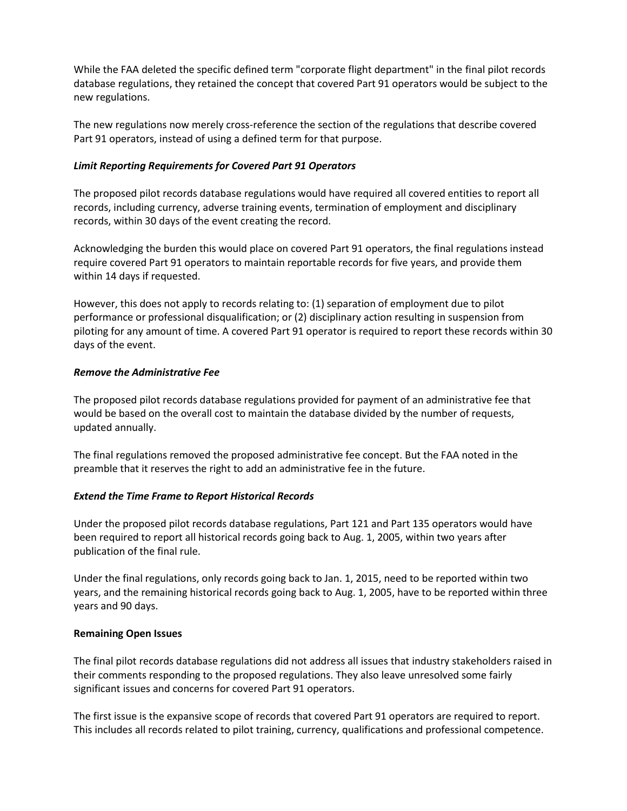While the FAA deleted the specific defined term "corporate flight department" in the final pilot records database regulations, they retained the concept that covered Part 91 operators would be subject to the new regulations.

The new regulations now merely cross-reference the section of the regulations that describe covered Part 91 operators, instead of using a defined term for that purpose.

# *Limit Reporting Requirements for Covered Part 91 Operators*

The proposed pilot records database regulations would have required all covered entities to report all records, including currency, adverse training events, termination of employment and disciplinary records, within 30 days of the event creating the record.

Acknowledging the burden this would place on covered Part 91 operators, the final regulations instead require covered Part 91 operators to maintain reportable records for five years, and provide them within 14 days if requested.

However, this does not apply to records relating to: (1) separation of employment due to pilot performance or professional disqualification; or (2) disciplinary action resulting in suspension from piloting for any amount of time. A covered Part 91 operator is required to report these records within 30 days of the event.

# *Remove the Administrative Fee*

The proposed pilot records database regulations provided for payment of an administrative fee that would be based on the overall cost to maintain the database divided by the number of requests, updated annually.

The final regulations removed the proposed administrative fee concept. But the FAA noted in the preamble that it reserves the right to add an administrative fee in the future.

# *Extend the Time Frame to Report Historical Records*

Under the proposed pilot records database regulations, Part 121 and Part 135 operators would have been required to report all historical records going back to Aug. 1, 2005, within two years after publication of the final rule.

Under the final regulations, only records going back to Jan. 1, 2015, need to be reported within two years, and the remaining historical records going back to Aug. 1, 2005, have to be reported within three years and 90 days.

# **Remaining Open Issues**

The final pilot records database regulations did not address all issues that industry stakeholders raised in their comments responding to the proposed regulations. They also leave unresolved some fairly significant issues and concerns for covered Part 91 operators.

The first issue is the expansive scope of records that covered Part 91 operators are required to report. This includes all records related to pilot training, currency, qualifications and professional competence.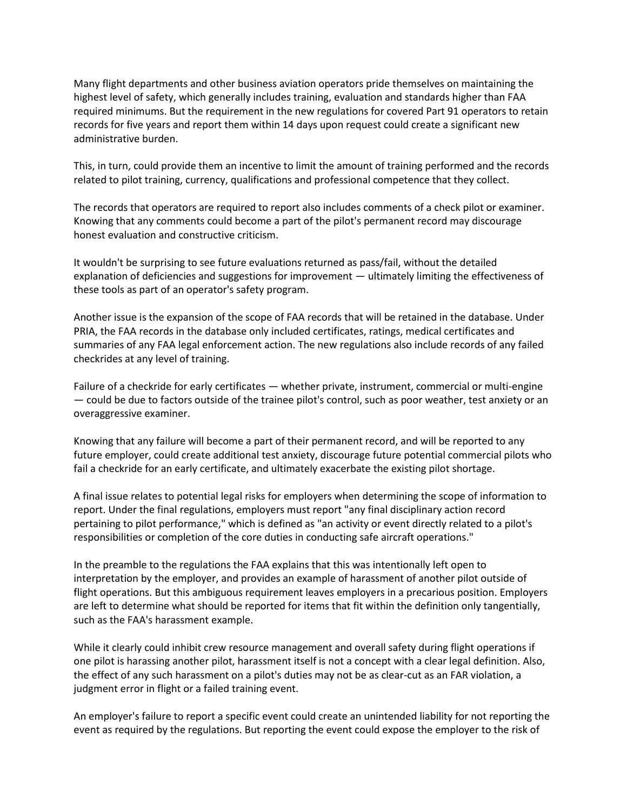Many flight departments and other business aviation operators pride themselves on maintaining the highest level of safety, which generally includes training, evaluation and standards higher than FAA required minimums. But the requirement in the new regulations for covered Part 91 operators to retain records for five years and report them within 14 days upon request could create a significant new administrative burden.

This, in turn, could provide them an incentive to limit the amount of training performed and the records related to pilot training, currency, qualifications and professional competence that they collect.

The records that operators are required to report also includes comments of a check pilot or examiner. Knowing that any comments could become a part of the pilot's permanent record may discourage honest evaluation and constructive criticism.

It wouldn't be surprising to see future evaluations returned as pass/fail, without the detailed explanation of deficiencies and suggestions for improvement — ultimately limiting the effectiveness of these tools as part of an operator's safety program.

Another issue is the expansion of the scope of FAA records that will be retained in the database. Under PRIA, the FAA records in the database only included certificates, ratings, medical certificates and summaries of any FAA legal enforcement action. The new regulations also include records of any failed checkrides at any level of training.

Failure of a checkride for early certificates — whether private, instrument, commercial or multi-engine — could be due to factors outside of the trainee pilot's control, such as poor weather, test anxiety or an overaggressive examiner.

Knowing that any failure will become a part of their permanent record, and will be reported to any future employer, could create additional test anxiety, discourage future potential commercial pilots who fail a checkride for an early certificate, and ultimately exacerbate the existing pilot shortage.

A final issue relates to potential legal risks for employers when determining the scope of information to report. Under the final regulations, employers must report "any final disciplinary action record pertaining to pilot performance," which is defined as "an activity or event directly related to a pilot's responsibilities or completion of the core duties in conducting safe aircraft operations."

In the preamble to the regulations the FAA explains that this was intentionally left open to interpretation by the employer, and provides an example of harassment of another pilot outside of flight operations. But this ambiguous requirement leaves employers in a precarious position. Employers are left to determine what should be reported for items that fit within the definition only tangentially, such as the FAA's harassment example.

While it clearly could inhibit crew resource management and overall safety during flight operations if one pilot is harassing another pilot, harassment itself is not a concept with a clear legal definition. Also, the effect of any such harassment on a pilot's duties may not be as clear-cut as an FAR violation, a judgment error in flight or a failed training event.

An employer's failure to report a specific event could create an unintended liability for not reporting the event as required by the regulations. But reporting the event could expose the employer to the risk of